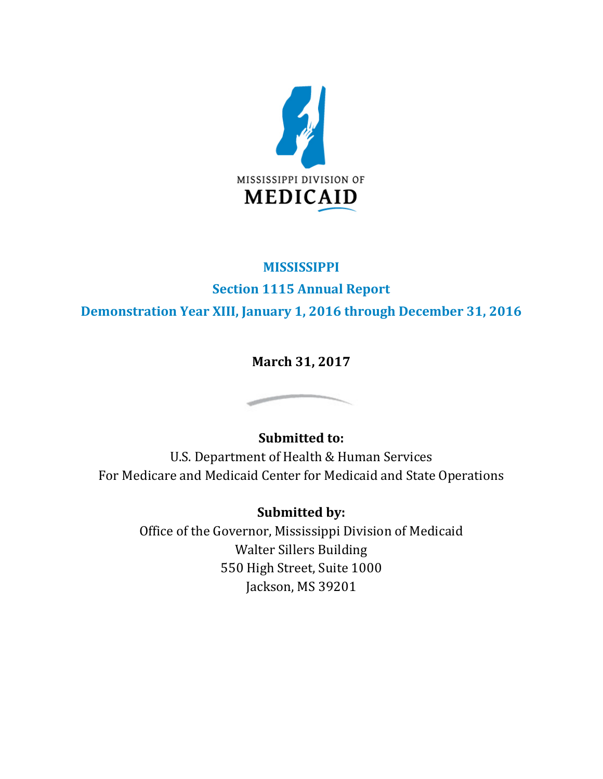

## **MISSISSIPPI**

**Section 1115 Annual Report**

**Demonstration Year XIII, January 1, 2016 through December 31, 2016**

**March 31, 2017**

# **Submitted to:**

U.S. Department of Health & Human Services For Medicare and Medicaid Center for Medicaid and State Operations

# **Submitted by:**

Office of the Governor, Mississippi Division of Medicaid Walter Sillers Building 550 High Street, Suite 1000 Jackson, MS 39201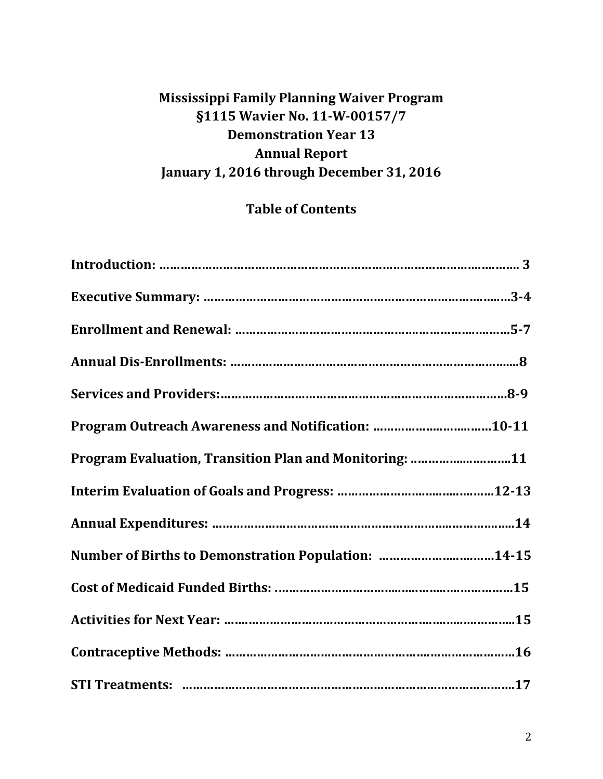# **Mississippi Family Planning Waiver Program §1115 Wavier No. 11-W-00157/7 Demonstration Year 13 Annual Report January 1, 2016 through December 31, 2016**

# **Table of Contents**

| Program Outreach Awareness and Notification: 10-11     |  |
|--------------------------------------------------------|--|
| Program Evaluation, Transition Plan and Monitoring: 11 |  |
|                                                        |  |
|                                                        |  |
| Number of Births to Demonstration Population: 14-15    |  |
|                                                        |  |
|                                                        |  |
|                                                        |  |
|                                                        |  |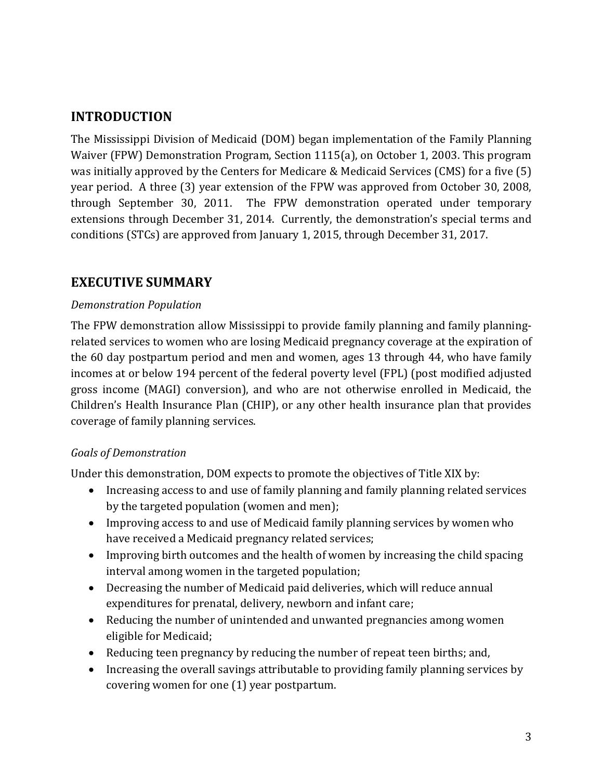## **INTRODUCTION**

The Mississippi Division of Medicaid (DOM) began implementation of the Family Planning Waiver (FPW) Demonstration Program, Section 1115(a), on October 1, 2003. This program was initially approved by the Centers for Medicare & Medicaid Services (CMS) for a five (5) year period. A three (3) year extension of the FPW was approved from October 30, 2008, through September 30, 2011. The FPW demonstration operated under temporary extensions through December 31, 2014. Currently, the demonstration's special terms and conditions (STCs) are approved from January 1, 2015, through December 31, 2017.

## **EXECUTIVE SUMMARY**

#### *Demonstration Population*

The FPW demonstration allow Mississippi to provide family planning and family planningrelated services to women who are losing Medicaid pregnancy coverage at the expiration of the 60 day postpartum period and men and women, ages 13 through 44, who have family incomes at or below 194 percent of the federal poverty level (FPL) (post modified adjusted gross income (MAGI) conversion), and who are not otherwise enrolled in Medicaid, the Children's Health Insurance Plan (CHIP), or any other health insurance plan that provides coverage of family planning services.

### *Goals of Demonstration*

Under this demonstration, DOM expects to promote the objectives of Title XIX by:

- Increasing access to and use of family planning and family planning related services by the targeted population (women and men);
- Improving access to and use of Medicaid family planning services by women who have received a Medicaid pregnancy related services;
- Improving birth outcomes and the health of women by increasing the child spacing interval among women in the targeted population;
- Decreasing the number of Medicaid paid deliveries, which will reduce annual expenditures for prenatal, delivery, newborn and infant care;
- Reducing the number of unintended and unwanted pregnancies among women eligible for Medicaid;
- Reducing teen pregnancy by reducing the number of repeat teen births; and,
- Increasing the overall savings attributable to providing family planning services by covering women for one (1) year postpartum.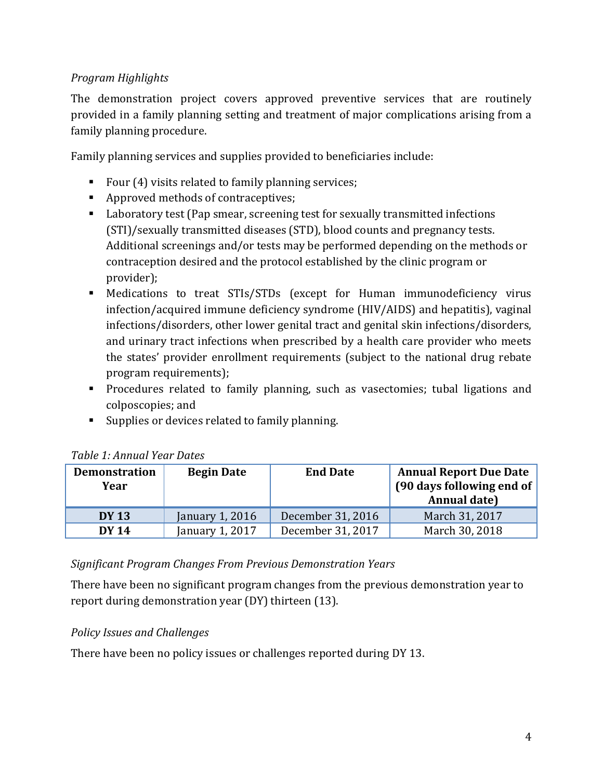### *Program Highlights*

The demonstration project covers approved preventive services that are routinely provided in a family planning setting and treatment of major complications arising from a family planning procedure.

Family planning services and supplies provided to beneficiaries include:

- Four  $(4)$  visits related to family planning services;
- Approved methods of contraceptives;
- Laboratory test (Pap smear, screening test for sexually transmitted infections (STI)/sexually transmitted diseases (STD), blood counts and pregnancy tests. Additional screenings and/or tests may be performed depending on the methods or contraception desired and the protocol established by the clinic program or provider);
- Medications to treat STIs/STDs (except for Human immunodeficiency virus infection/acquired immune deficiency syndrome (HIV/AIDS) and hepatitis), vaginal infections/disorders, other lower genital tract and genital skin infections/disorders, and urinary tract infections when prescribed by a health care provider who meets the states' provider enrollment requirements (subject to the national drug rebate program requirements);
- **Procedures related to family planning, such as vasectomies; tubal ligations and** colposcopies; and
- Supplies or devices related to family planning.

| <b>Demonstration</b><br>Year | <b>Begin Date</b> | <b>End Date</b>   | <b>Annual Report Due Date</b><br>[90 days following end of<br>Annual date) |
|------------------------------|-------------------|-------------------|----------------------------------------------------------------------------|
| <b>DY 13</b>                 | January 1, 2016   | December 31, 2016 | March 31, 2017                                                             |
| <b>DY 14</b>                 | January 1, 2017   | December 31, 2017 | March 30, 2018                                                             |

### *Table 1: Annual Year Dates*

#### *Significant Program Changes From Previous Demonstration Years*

There have been no significant program changes from the previous demonstration year to report during demonstration year (DY) thirteen (13).

### *Policy Issues and Challenges*

There have been no policy issues or challenges reported during DY 13.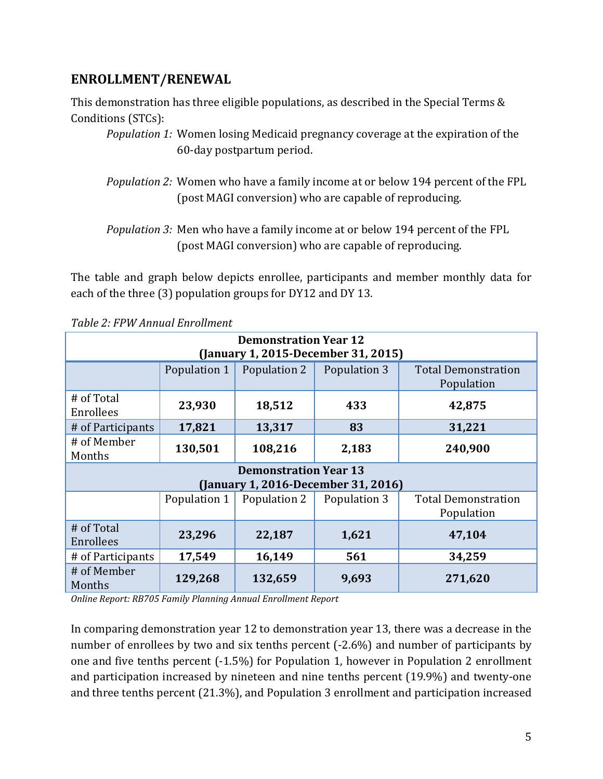## **ENROLLMENT/RENEWAL**

This demonstration has three eligible populations, as described in the Special Terms & Conditions (STCs):

- *Population 1:* Women losing Medicaid pregnancy coverage at the expiration of the 60-day postpartum period.
- *Population 2:* Women who have a family income at or below 194 percent of the FPL (post MAGI conversion) who are capable of reproducing.

*Population 3:* Men who have a family income at or below 194 percent of the FPL (post MAGI conversion) who are capable of reproducing.

The table and graph below depicts enrollee, participants and member monthly data for each of the three (3) population groups for DY12 and DY 13.

| <b>Demonstration Year 12</b><br>(January 1, 2015-December 31, 2015) |              |                              |                                     |                                          |  |
|---------------------------------------------------------------------|--------------|------------------------------|-------------------------------------|------------------------------------------|--|
|                                                                     | Population 1 | Population 2                 | Population 3                        | <b>Total Demonstration</b><br>Population |  |
| # of Total<br>Enrollees                                             | 23,930       | 18,512                       | 433                                 | 42,875                                   |  |
| # of Participants                                                   | 17,821       | 13,317                       | 83                                  | 31,221                                   |  |
| # of Member<br>Months                                               | 130,501      | 108,216                      | 2,183                               | 240,900                                  |  |
|                                                                     |              | <b>Demonstration Year 13</b> | (January 1, 2016-December 31, 2016) |                                          |  |
|                                                                     | Population 1 | Population 2                 | Population 3                        | <b>Total Demonstration</b><br>Population |  |
| # of Total<br>47,104<br>23,296<br>22,187<br>1,621<br>Enrollees      |              |                              |                                     |                                          |  |
| # of Participants                                                   | 17,549       | 16,149                       | 561                                 | 34,259                                   |  |
| # of Member<br>Months                                               | 129,268      | 132,659                      | 9,693                               | 271,620                                  |  |

*Table 2: FPW Annual Enrollment* 

*Online Report: RB705 Family Planning Annual Enrollment Report* 

In comparing demonstration year 12 to demonstration year 13, there was a decrease in the number of enrollees by two and six tenths percent (-2.6%) and number of participants by one and five tenths percent (-1.5%) for Population 1, however in Population 2 enrollment and participation increased by nineteen and nine tenths percent (19.9%) and twenty-one and three tenths percent (21.3%), and Population 3 enrollment and participation increased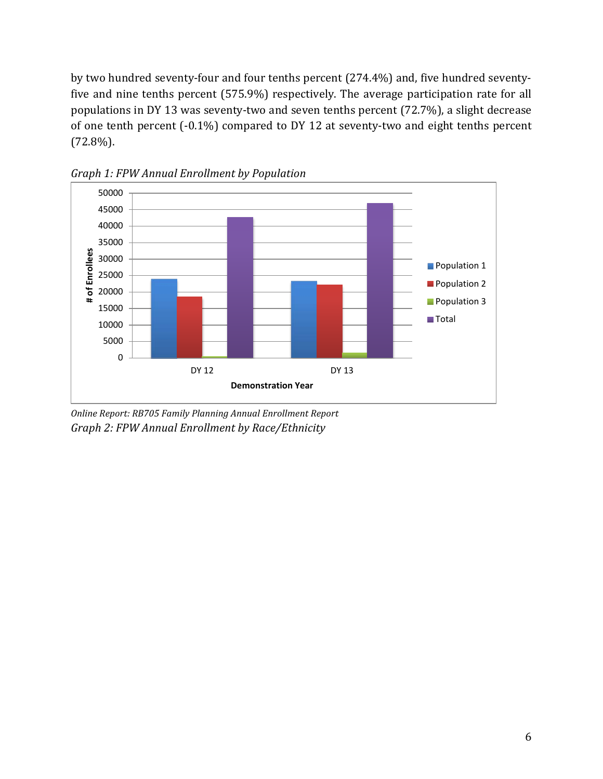by two hundred seventy-four and four tenths percent (274.4%) and, five hundred seventyfive and nine tenths percent (575.9%) respectively. The average participation rate for all populations in DY 13 was seventy-two and seven tenths percent (72.7%), a slight decrease of one tenth percent (-0.1%) compared to DY 12 at seventy-two and eight tenths percent (72.8%).



*Graph 1: FPW Annual Enrollment by Population*

*Online Report: RB705 Family Planning Annual Enrollment Report Graph 2: FPW Annual Enrollment by Race/Ethnicity*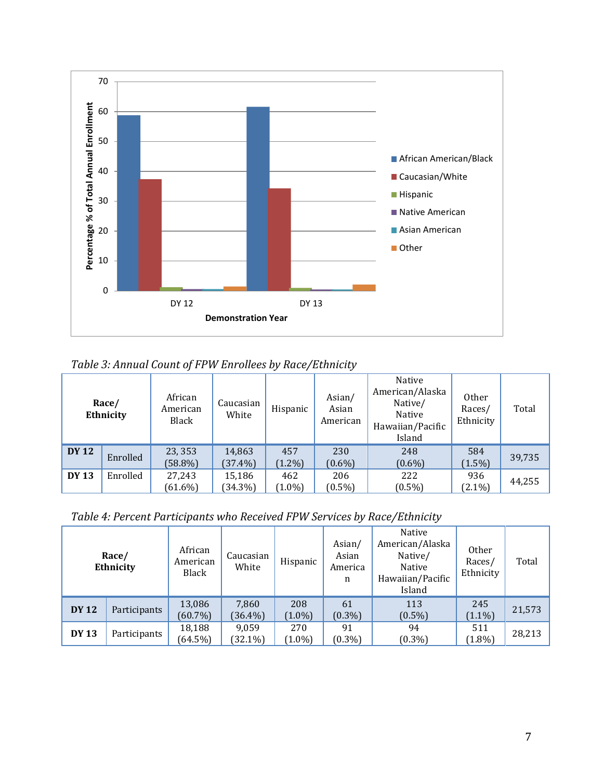

*Table 3: Annual Count of FPW Enrollees by Race/Ethnicity* 

|              | Race/<br>Ethnicity | African<br>American<br>Black | Caucasian<br>White   | Hispanic         | Asian/<br>Asian<br>American | Native<br>American/Alaska<br>Native/<br>Native<br>Hawaiian/Pacific<br>Island | 0ther<br>Races/<br>Ethnicity | Total  |
|--------------|--------------------|------------------------------|----------------------|------------------|-----------------------------|------------------------------------------------------------------------------|------------------------------|--------|
| <b>DY 12</b> | Enrolled           | 23, 353<br>$(58.8\%)$        | 14,863<br>$(37.4\%)$ | 457<br>$(1.2\%)$ | 230<br>$(0.6\%)$            | 248<br>$(0.6\%)$                                                             | 584<br>$(1.5\%)$             | 39,735 |
| <b>DY 13</b> | Enrolled           | 27,243<br>$(61.6\%)$         | 15,186<br>$(34.3\%)$ | 462<br>$(1.0\%)$ | 206<br>$(0.5\%)$            | 222<br>$(0.5\%)$                                                             | 936<br>$(2.1\%)$             | 44,255 |

*Table 4: Percent Participants who Received FPW Services by Race/Ethnicity* 

|              | Race/<br>Ethnicity | African<br>American<br>Black | Caucasian<br>White  | Hispanic         | Asian/<br>Asian<br>America<br>n | Native<br>American/Alaska<br>Native/<br>Native<br>Hawaiian/Pacific<br>Island | Other<br>Races/<br>Ethnicity | Total  |
|--------------|--------------------|------------------------------|---------------------|------------------|---------------------------------|------------------------------------------------------------------------------|------------------------------|--------|
| <b>DY 12</b> | Participants       | 13,086<br>$(60.7\%)$         | 7,860<br>$(36.4\%)$ | 208<br>$(1.0\%)$ | 61<br>$(0.3\%)$                 | 113<br>$(0.5\%)$                                                             | 245<br>$(1.1\%)$             | 21,573 |
| <b>DY 13</b> | Participants       | 18,188<br>$(64.5\%)$         | 9,059<br>$(32.1\%)$ | 270<br>$(1.0\%)$ | 91<br>$(0.3\%)$                 | 94<br>$(0.3\%)$                                                              | 511<br>$(1.8\%)$             | 28,213 |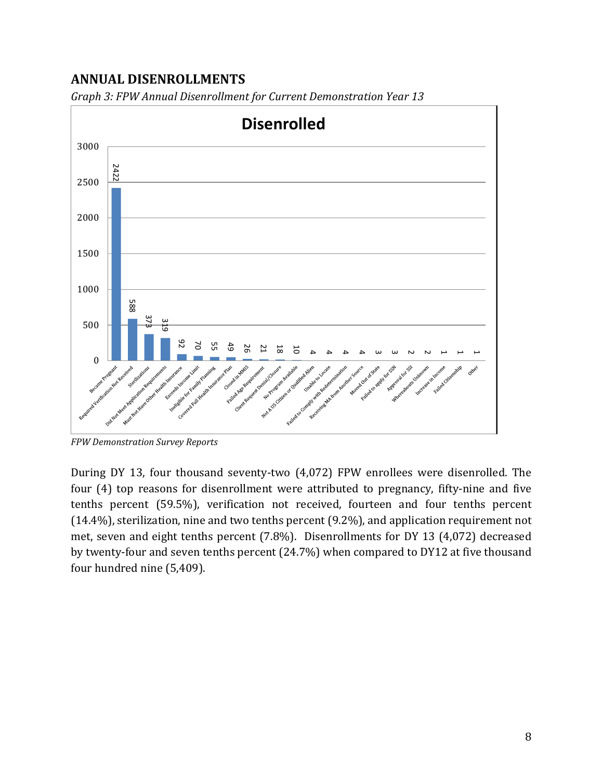## **ANNUAL DISENROLLMENTS**



*Graph 3: FPW Annual Disenrollment for Current Demonstration Year 13* 

During DY 13, four thousand seventy-two (4,072) FPW enrollees were disenrolled. The four (4) top reasons for disenrollment were attributed to pregnancy, fifty-nine and five tenths percent (59.5%), verification not received, fourteen and four tenths percent (14.4%), sterilization, nine and two tenths percent (9.2%), and application requirement not met, seven and eight tenths percent (7.8%). Disenrollments for DY 13 (4,072) decreased by twenty-four and seven tenths percent (24.7%) when compared to DY12 at five thousand

*FPW Demonstration Survey Reports*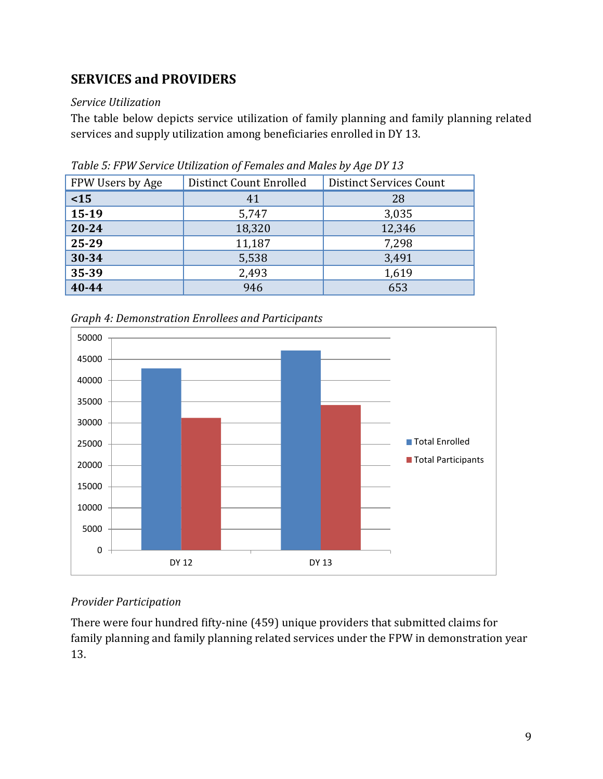## **SERVICES and PROVIDERS**

### *Service Utilization*

The table below depicts service utilization of family planning and family planning related services and supply utilization among beneficiaries enrolled in DY 13.

| Distinct Count Enrolled | Distinct Services Count |
|-------------------------|-------------------------|
| 41                      | 28                      |
| 5,747                   | 3,035                   |
| 18,320                  | 12,346                  |
| 11,187                  | 7,298                   |
| 5,538                   | 3,491                   |
| 2,493                   | 1,619                   |
| 946                     | 653                     |
|                         |                         |

*Table 5: FPW Service Utilization of Females and Males by Age DY 13*



*Graph 4: Demonstration Enrollees and Participants* 

### *Provider Participation*

There were four hundred fifty-nine (459) unique providers that submitted claims for family planning and family planning related services under the FPW in demonstration year 13.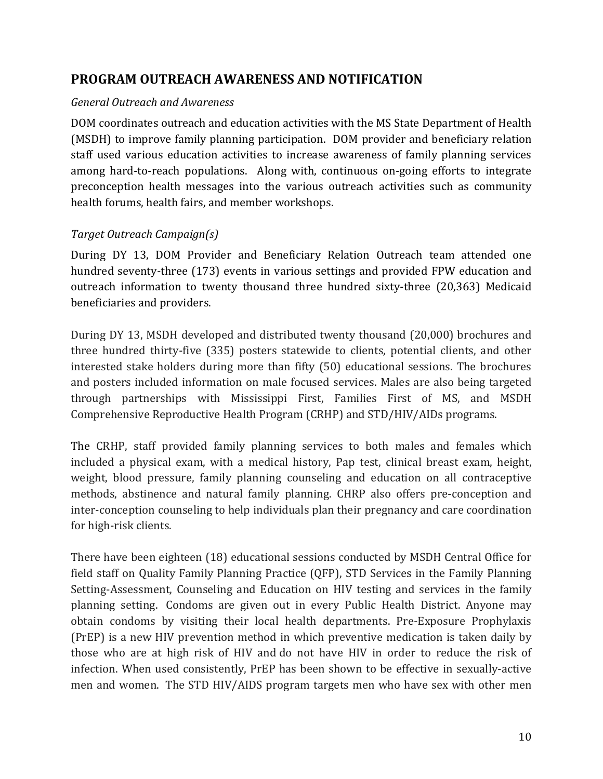## **PROGRAM OUTREACH AWARENESS AND NOTIFICATION**

#### *General Outreach and Awareness*

DOM coordinates outreach and education activities with the MS State Department of Health (MSDH) to improve family planning participation. DOM provider and beneficiary relation staff used various education activities to increase awareness of family planning services among hard-to-reach populations. Along with, continuous on-going efforts to integrate preconception health messages into the various outreach activities such as community health forums, health fairs, and member workshops.

### *Target Outreach Campaign(s)*

During DY 13, DOM Provider and Beneficiary Relation Outreach team attended one hundred seventy-three (173) events in various settings and provided FPW education and outreach information to twenty thousand three hundred sixty-three (20,363) Medicaid beneficiaries and providers.

During DY 13, MSDH developed and distributed twenty thousand (20,000) brochures and three hundred thirty-five (335) posters statewide to clients, potential clients, and other interested stake holders during more than fifty (50) educational sessions. The brochures and posters included information on male focused services. Males are also being targeted through partnerships with Mississippi First, Families First of MS, and MSDH Comprehensive Reproductive Health Program (CRHP) and STD/HIV/AIDs programs.

The CRHP, staff provided family planning services to both males and females which included a physical exam, with a medical history, Pap test, clinical breast exam, height, weight, blood pressure, family planning counseling and education on all contraceptive methods, abstinence and natural family planning. CHRP also offers pre-conception and inter-conception counseling to help individuals plan their pregnancy and care coordination for high-risk clients.

There have been eighteen (18) educational sessions conducted by MSDH Central Office for field staff on Quality Family Planning Practice (QFP), STD Services in the Family Planning Setting-Assessment, Counseling and Education on HIV testing and services in the family planning setting. Condoms are given out in every Public Health District. Anyone may obtain condoms by visiting their local health departments. Pre-Exposure Prophylaxis (PrEP) is a new HIV prevention method in which preventive medication is taken daily by those who are at high risk of HIV and do not have HIV in order to reduce the risk of infection. When used consistently, PrEP has been shown to be effective in sexually-active men and women. The STD HIV/AIDS program targets men who have sex with other men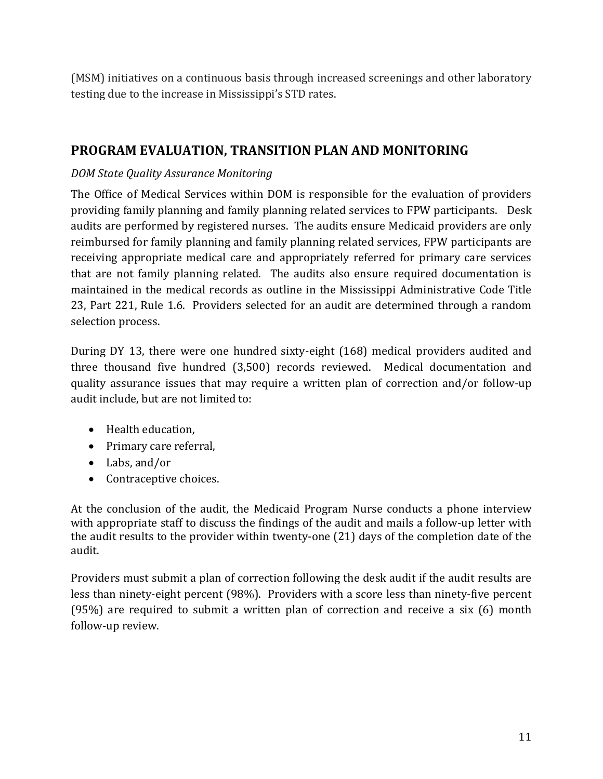(MSM) initiatives on a continuous basis through increased screenings and other laboratory testing due to the increase in Mississippi's STD rates.

## **PROGRAM EVALUATION, TRANSITION PLAN AND MONITORING**

### *DOM State Quality Assurance Monitoring*

The Office of Medical Services within DOM is responsible for the evaluation of providers providing family planning and family planning related services to FPW participants. Desk audits are performed by registered nurses. The audits ensure Medicaid providers are only reimbursed for family planning and family planning related services, FPW participants are receiving appropriate medical care and appropriately referred for primary care services that are not family planning related. The audits also ensure required documentation is maintained in the medical records as outline in the Mississippi Administrative Code Title 23, Part 221, Rule 1.6. Providers selected for an audit are determined through a random selection process.

During DY 13, there were one hundred sixty-eight (168) medical providers audited and three thousand five hundred (3,500) records reviewed. Medical documentation and quality assurance issues that may require a written plan of correction and/or follow-up audit include, but are not limited to:

- Health education,
- Primary care referral,
- Labs, and/or
- Contraceptive choices.

At the conclusion of the audit, the Medicaid Program Nurse conducts a phone interview with appropriate staff to discuss the findings of the audit and mails a follow-up letter with the audit results to the provider within twenty-one (21) days of the completion date of the audit.

Providers must submit a plan of correction following the desk audit if the audit results are less than ninety-eight percent (98%). Providers with a score less than ninety-five percent (95%) are required to submit a written plan of correction and receive a six (6) month follow-up review.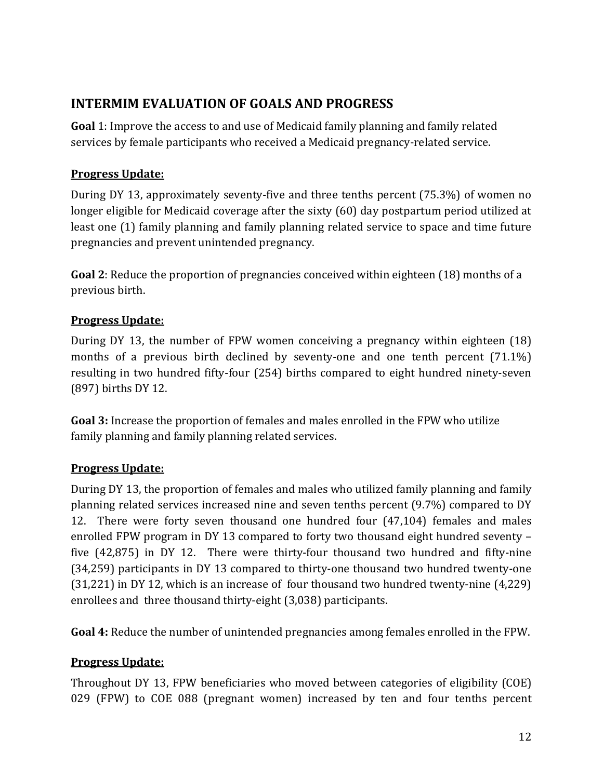## **INTERMIM EVALUATION OF GOALS AND PROGRESS**

**Goal** 1: Improve the access to and use of Medicaid family planning and family related services by female participants who received a Medicaid pregnancy-related service.

### **Progress Update:**

During DY 13, approximately seventy-five and three tenths percent (75.3%) of women no longer eligible for Medicaid coverage after the sixty (60) day postpartum period utilized at least one (1) family planning and family planning related service to space and time future pregnancies and prevent unintended pregnancy.

**Goal 2**: Reduce the proportion of pregnancies conceived within eighteen (18) months of a previous birth.

### **Progress Update:**

During DY 13, the number of FPW women conceiving a pregnancy within eighteen (18) months of a previous birth declined by seventy-one and one tenth percent (71.1%) resulting in two hundred fifty-four (254) births compared to eight hundred ninety-seven (897) births DY 12.

**Goal 3:** Increase the proportion of females and males enrolled in the FPW who utilize family planning and family planning related services.

### **Progress Update:**

During DY 13, the proportion of females and males who utilized family planning and family planning related services increased nine and seven tenths percent (9.7%) compared to DY 12. There were forty seven thousand one hundred four (47,104) females and males enrolled FPW program in DY 13 compared to forty two thousand eight hundred seventy – five (42,875) in DY 12. There were thirty-four thousand two hundred and fifty-nine (34,259) participants in DY 13 compared to thirty-one thousand two hundred twenty-one (31,221) in DY 12, which is an increase of four thousand two hundred twenty-nine (4,229) enrollees and three thousand thirty-eight (3,038) participants.

**Goal 4:** Reduce the number of unintended pregnancies among females enrolled in the FPW.

### **Progress Update:**

Throughout DY 13, FPW beneficiaries who moved between categories of eligibility (COE) 029 (FPW) to COE 088 (pregnant women) increased by ten and four tenths percent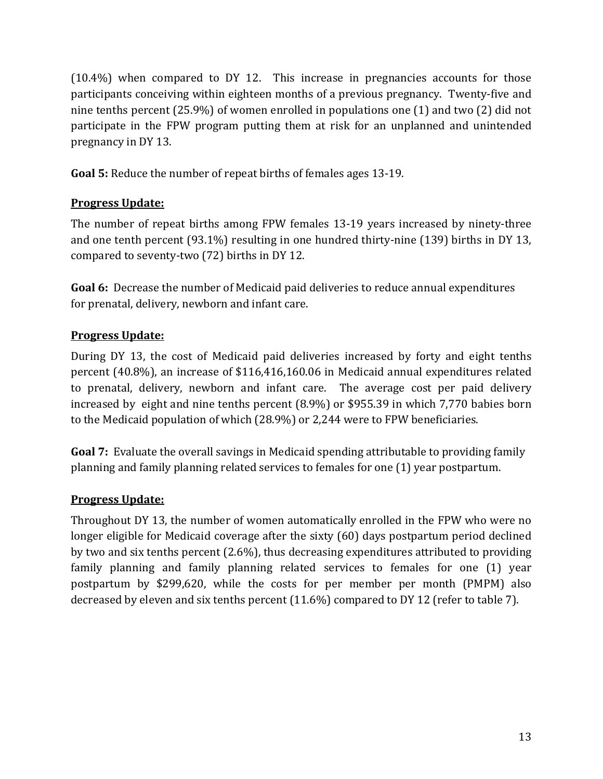(10.4%) when compared to DY 12. This increase in pregnancies accounts for those participants conceiving within eighteen months of a previous pregnancy. Twenty-five and nine tenths percent (25.9%) of women enrolled in populations one (1) and two (2) did not participate in the FPW program putting them at risk for an unplanned and unintended pregnancy in DY 13.

**Goal 5:** Reduce the number of repeat births of females ages 13-19.

### **Progress Update:**

The number of repeat births among FPW females 13-19 years increased by ninety-three and one tenth percent (93.1%) resulting in one hundred thirty-nine (139) births in DY 13, compared to seventy-two (72) births in DY 12.

**Goal 6:** Decrease the number of Medicaid paid deliveries to reduce annual expenditures for prenatal, delivery, newborn and infant care.

## **Progress Update:**

During DY 13, the cost of Medicaid paid deliveries increased by forty and eight tenths percent (40.8%), an increase of \$116,416,160.06 in Medicaid annual expenditures related to prenatal, delivery, newborn and infant care. The average cost per paid delivery increased by eight and nine tenths percent (8.9%) or \$955.39 in which 7,770 babies born to the Medicaid population of which (28.9%) or 2,244 were to FPW beneficiaries.

**Goal 7:** Evaluate the overall savings in Medicaid spending attributable to providing family planning and family planning related services to females for one (1) year postpartum.

### **Progress Update:**

Throughout DY 13, the number of women automatically enrolled in the FPW who were no longer eligible for Medicaid coverage after the sixty (60) days postpartum period declined by two and six tenths percent (2.6%), thus decreasing expenditures attributed to providing family planning and family planning related services to females for one (1) year postpartum by \$299,620, while the costs for per member per month (PMPM) also decreased by eleven and six tenths percent (11.6%) compared to DY 12 (refer to table 7).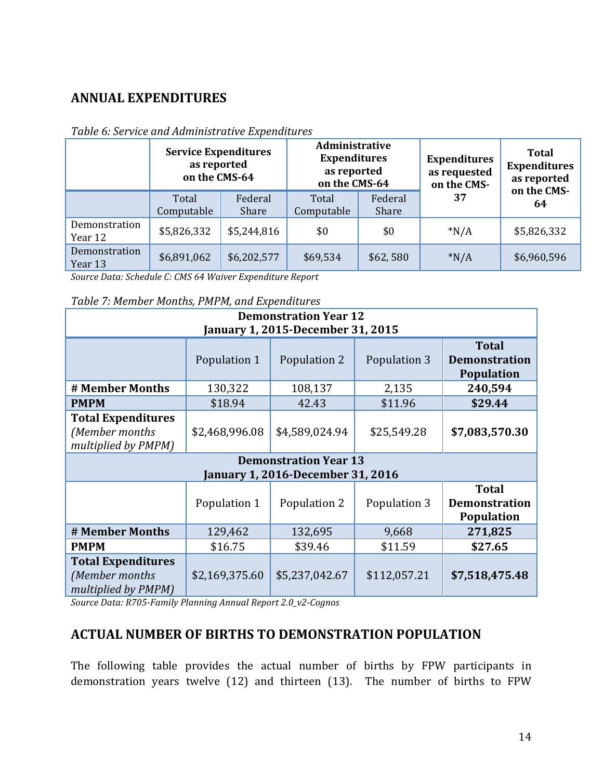## **ANNUAL EXPENDITURES**

|                          | <b>Service Expenditures</b><br>as reported<br>on the CMS-64 |                  | Administrative<br><b>Expenditures</b><br>as reported<br>on the CMS-64 |                  | <b>Expenditures</b><br>as requested<br>on the CMS- | <b>Total</b><br><b>Expenditures</b><br>as reported<br>on the CMS- |
|--------------------------|-------------------------------------------------------------|------------------|-----------------------------------------------------------------------|------------------|----------------------------------------------------|-------------------------------------------------------------------|
|                          | Total<br>Computable                                         | Federal<br>Share | Total<br>Computable                                                   | Federal<br>Share | 37                                                 | 64                                                                |
| Demonstration<br>Year 12 | \$5,826,332                                                 | \$5,244,816      | \$0                                                                   | \$0              | $*N/A$                                             | \$5,826,332                                                       |
| Demonstration<br>Year 13 | \$6,891,062                                                 | \$6,202,577      | \$69,534                                                              | \$62,580         | $*N/A$                                             | \$6,960,596                                                       |

#### *Table 6: Service and Administrative Expenditures*

*Source Data: Schedule C: CMS 64 Waiver Expenditure Report* 

#### *Table 7: Member Months, PMPM, and Expenditures*

| <b>Demonstration Year 12</b><br>January 1, 2015-December 31, 2015                                         |                                                                                                           |                                                                          |              |                |  |  |
|-----------------------------------------------------------------------------------------------------------|-----------------------------------------------------------------------------------------------------------|--------------------------------------------------------------------------|--------------|----------------|--|--|
| <b>Total</b><br>Population 1<br>Population 2<br>Population 3<br><b>Demonstration</b><br><b>Population</b> |                                                                                                           |                                                                          |              |                |  |  |
| # Member Months                                                                                           | 130,322                                                                                                   | 108,137                                                                  | 2,135        | 240,594        |  |  |
| <b>PMPM</b>                                                                                               | \$18.94                                                                                                   | 42.43                                                                    | \$11.96      | \$29.44        |  |  |
| <b>Total Expenditures</b><br>(Member months<br>multiplied by PMPM)                                        | \$2,468,996.08                                                                                            | \$4,589,024.94                                                           | \$25,549.28  | \$7,083,570.30 |  |  |
|                                                                                                           |                                                                                                           | <b>Demonstration Year 13</b><br><b>January 1, 2016-December 31, 2016</b> |              |                |  |  |
|                                                                                                           | <b>Total</b><br>Population 1<br>Population 2<br>Population 3<br><b>Demonstration</b><br><b>Population</b> |                                                                          |              |                |  |  |
| # Member Months                                                                                           | 129,462                                                                                                   | 132,695                                                                  | 9,668        | 271,825        |  |  |
| <b>PMPM</b>                                                                                               | \$16.75                                                                                                   | \$39.46                                                                  | \$11.59      | \$27.65        |  |  |
| <b>Total Expenditures</b><br>(Member months<br>multiplied by PMPM)                                        | \$2,169,375.60                                                                                            | \$5,237,042.67                                                           | \$112,057.21 | \$7,518,475.48 |  |  |

*Source Data: R705-Family Planning Annual Report 2.0\_v2-Cognos* 

### **ACTUAL NUMBER OF BIRTHS TO DEMONSTRATION POPULATION**

The following table provides the actual number of births by FPW participants in demonstration years twelve (12) and thirteen (13). The number of births to FPW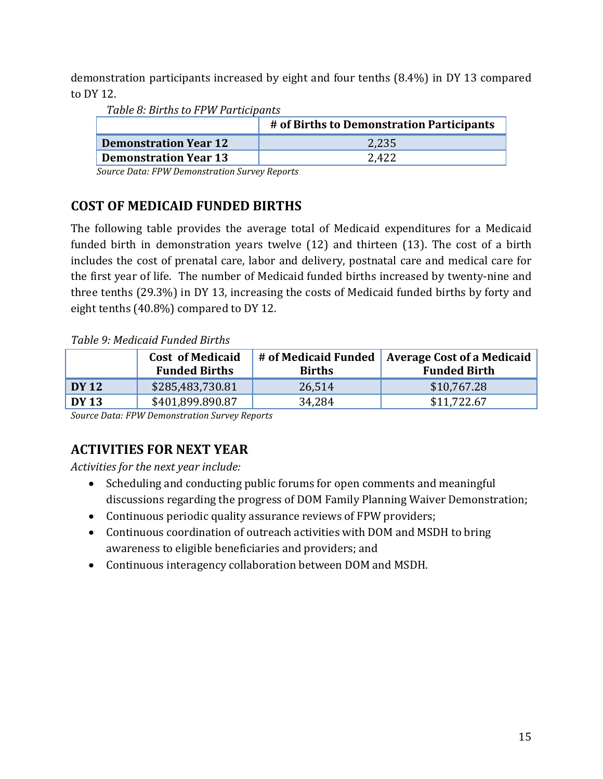demonstration participants increased by eight and four tenths (8.4%) in DY 13 compared to DY 12.

*Table 8: Births to FPW Participants*

|                              | # of Births to Demonstration Participants |
|------------------------------|-------------------------------------------|
| <b>Demonstration Year 12</b> | 2,235                                     |
| <b>Demonstration Year 13</b> | 2,422                                     |

 *Source Data: FPW Demonstration Survey Reports*

## **COST OF MEDICAID FUNDED BIRTHS**

The following table provides the average total of Medicaid expenditures for a Medicaid funded birth in demonstration years twelve (12) and thirteen (13). The cost of a birth includes the cost of prenatal care, labor and delivery, postnatal care and medical care for the first year of life. The number of Medicaid funded births increased by twenty-nine and three tenths (29.3%) in DY 13, increasing the costs of Medicaid funded births by forty and eight tenths (40.8%) compared to DY 12.

### *Table 9: Medicaid Funded Births*

|       | <b>Cost of Medicaid</b><br><b>Funded Births</b> | # of Medicaid Funded<br><b>Births</b> | <b>Average Cost of a Medicaid</b><br><b>Funded Birth</b> |
|-------|-------------------------------------------------|---------------------------------------|----------------------------------------------------------|
| DY 12 | \$285,483,730.81                                | 26,514                                | \$10,767.28                                              |
| DY 13 | \$401,899.890.87                                | 34,284                                | \$11,722.67                                              |

*Source Data: FPW Demonstration Survey Reports*

# **ACTIVITIES FOR NEXT YEAR**

*Activities for the next year include:* 

- Scheduling and conducting public forums for open comments and meaningful discussions regarding the progress of DOM Family Planning Waiver Demonstration;
- Continuous periodic quality assurance reviews of FPW providers;
- Continuous coordination of outreach activities with DOM and MSDH to bring awareness to eligible beneficiaries and providers; and
- Continuous interagency collaboration between DOM and MSDH.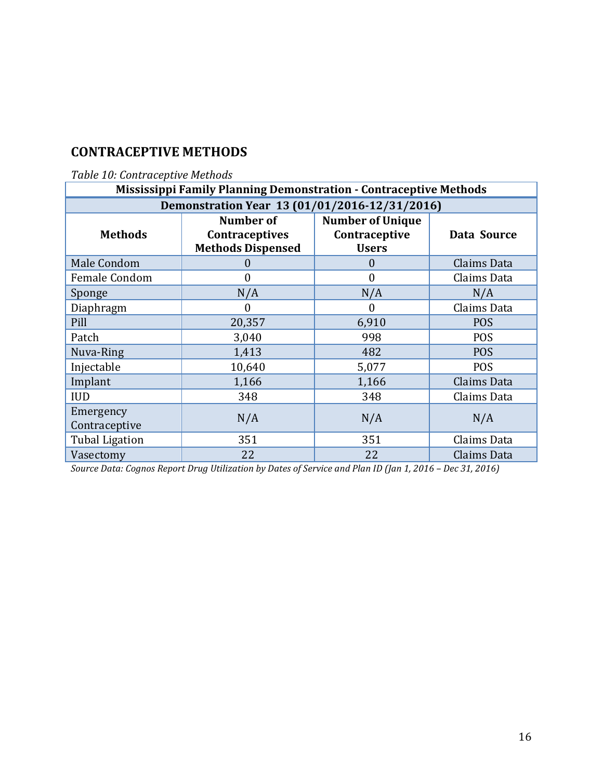## **CONTRACEPTIVE METHODS**

## *Table 10: Contraceptive Methods*

| <b>Mississippi Family Planning Demonstration - Contraceptive Methods</b> |                                                                |                                                          |             |  |  |
|--------------------------------------------------------------------------|----------------------------------------------------------------|----------------------------------------------------------|-------------|--|--|
| Demonstration Year 13 (01/01/2016-12/31/2016)                            |                                                                |                                                          |             |  |  |
| <b>Methods</b>                                                           | Number of<br><b>Contraceptives</b><br><b>Methods Dispensed</b> | <b>Number of Unique</b><br>Contraceptive<br><b>Users</b> | Data Source |  |  |
| Male Condom                                                              | $\cup$                                                         | $\overline{0}$                                           | Claims Data |  |  |
| <b>Female Condom</b>                                                     | $\theta$                                                       | $\mathbf{0}$                                             | Claims Data |  |  |
| Sponge                                                                   | N/A                                                            | N/A                                                      | N/A         |  |  |
| Diaphragm                                                                | $\theta$                                                       | $\boldsymbol{0}$                                         | Claims Data |  |  |
| Pill                                                                     | 20,357                                                         | 6,910                                                    | <b>POS</b>  |  |  |
| Patch                                                                    | 3,040                                                          | 998                                                      | <b>POS</b>  |  |  |
| Nuva-Ring                                                                | 1,413                                                          | 482                                                      | <b>POS</b>  |  |  |
| Injectable                                                               | 10,640                                                         | 5,077                                                    | <b>POS</b>  |  |  |
| Implant                                                                  | 1,166                                                          | 1,166                                                    | Claims Data |  |  |
| <b>IUD</b>                                                               | 348                                                            | 348                                                      | Claims Data |  |  |
| Emergency<br>Contraceptive                                               | N/A                                                            | N/A                                                      | N/A         |  |  |
| <b>Tubal Ligation</b>                                                    | 351                                                            | 351                                                      | Claims Data |  |  |
| Vasectomy                                                                | 22                                                             | 22                                                       | Claims Data |  |  |

*Source Data: Cognos Report Drug Utilization by Dates of Service and Plan ID (Jan 1, 2016 – Dec 31, 2016)*